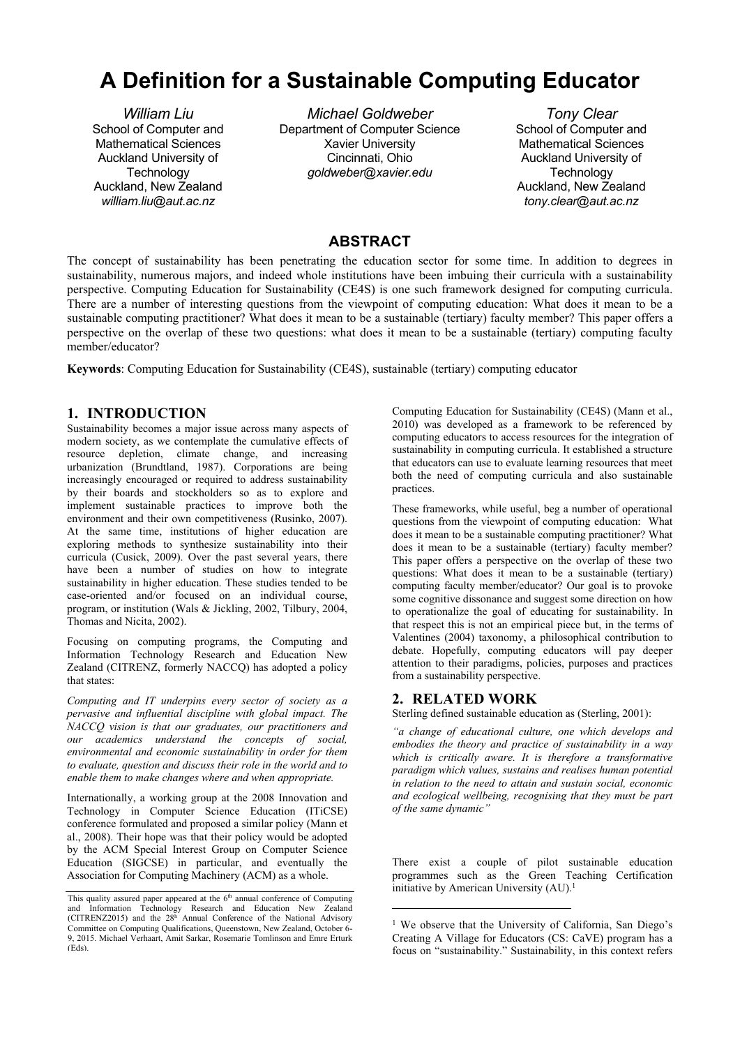# **A Definition for a Sustainable Computing Educator**

*William Liu*  School of Computer and Mathematical Sciences Auckland University of **Technology** Auckland, New Zealand *william.liu@aut.ac.nz* 

*Michael Goldweber*  Department of Computer Science Xavier University Cincinnati, Ohio *goldweber@xavier.edu* 

*Tony Clear*  School of Computer and Mathematical Sciences Auckland University of **Technology** Auckland, New Zealand *tony.clear@aut.ac.nz* 

# **ABSTRACT**

The concept of sustainability has been penetrating the education sector for some time. In addition to degrees in sustainability, numerous majors, and indeed whole institutions have been imbuing their curricula with a sustainability perspective. Computing Education for Sustainability (CE4S) is one such framework designed for computing curricula. There are a number of interesting questions from the viewpoint of computing education: What does it mean to be a sustainable computing practitioner? What does it mean to be a sustainable (tertiary) faculty member? This paper offers a perspective on the overlap of these two questions: what does it mean to be a sustainable (tertiary) computing faculty member/educator?

**Keywords**: Computing Education for Sustainability (CE4S), sustainable (tertiary) computing educator

## **1. INTRODUCTION**

Sustainability becomes a major issue across many aspects of modern society, as we contemplate the cumulative effects of resource depletion, climate change, and increasing urbanization (Brundtland, 1987). Corporations are being increasingly encouraged or required to address sustainability by their boards and stockholders so as to explore and implement sustainable practices to improve both the environment and their own competitiveness (Rusinko, 2007). At the same time, institutions of higher education are exploring methods to synthesize sustainability into their curricula (Cusick, 2009). Over the past several years, there have been a number of studies on how to integrate sustainability in higher education. These studies tended to be case-oriented and/or focused on an individual course, program, or institution (Wals & Jickling, 2002, Tilbury, 2004, Thomas and Nicita, 2002).

Focusing on computing programs, the Computing and Information Technology Research and Education New Zealand (CITRENZ, formerly NACCQ) has adopted a policy that states:

*Computing and IT underpins every sector of society as a pervasive and influential discipline with global impact. The NACCQ vision is that our graduates, our practitioners and our academics understand the concepts of social, environmental and economic sustainability in order for them to evaluate, question and discuss their role in the world and to enable them to make changes where and when appropriate.*

Internationally, a working group at the 2008 Innovation and Technology in Computer Science Education (ITiCSE) conference formulated and proposed a similar policy (Mann et al., 2008). Their hope was that their policy would be adopted by the ACM Special Interest Group on Computer Science Education (SIGCSE) in particular, and eventually the Association for Computing Machinery (ACM) as a whole.

Computing Education for Sustainability (CE4S) (Mann et al., 2010) was developed as a framework to be referenced by computing educators to access resources for the integration of sustainability in computing curricula. It established a structure that educators can use to evaluate learning resources that meet both the need of computing curricula and also sustainable practices.

These frameworks, while useful, beg a number of operational questions from the viewpoint of computing education: What does it mean to be a sustainable computing practitioner? What does it mean to be a sustainable (tertiary) faculty member? This paper offers a perspective on the overlap of these two questions: What does it mean to be a sustainable (tertiary) computing faculty member/educator? Our goal is to provoke some cognitive dissonance and suggest some direction on how to operationalize the goal of educating for sustainability. In that respect this is not an empirical piece but, in the terms of Valentines (2004) taxonomy, a philosophical contribution to debate. Hopefully, computing educators will pay deeper attention to their paradigms, policies, purposes and practices from a sustainability perspective.

# **2. RELATED WORK**

1

Sterling defined sustainable education as (Sterling, 2001):

*"a change of educational culture, one which develops and embodies the theory and practice of sustainability in a way which is critically aware. It is therefore a transformative paradigm which values, sustains and realises human potential in relation to the need to attain and sustain social, economic and ecological wellbeing, recognising that they must be part of the same dynamic"*

There exist a couple of pilot sustainable education programmes such as the Green Teaching Certification initiative by American University (AU).<sup>1</sup>

This quality assured paper appeared at the  $6<sup>th</sup>$  annual conference of Computing and Information Technology Research and Education New Zealand (CITRENZ2015) and the  $28<sup>h</sup>$  Annual Conference of the National Advisory Committee on Computing Qualifications, Queenstown, New Zealand, October 6- 9, 2015. Michael Verhaart, Amit Sarkar, Rosemarie Tomlinson and Emre Erturk (Eds).

<sup>&</sup>lt;sup>1</sup> We observe that the University of California, San Diego's Creating A Village for Educators (CS: CaVE) program has a focus on "sustainability." Sustainability, in this context refers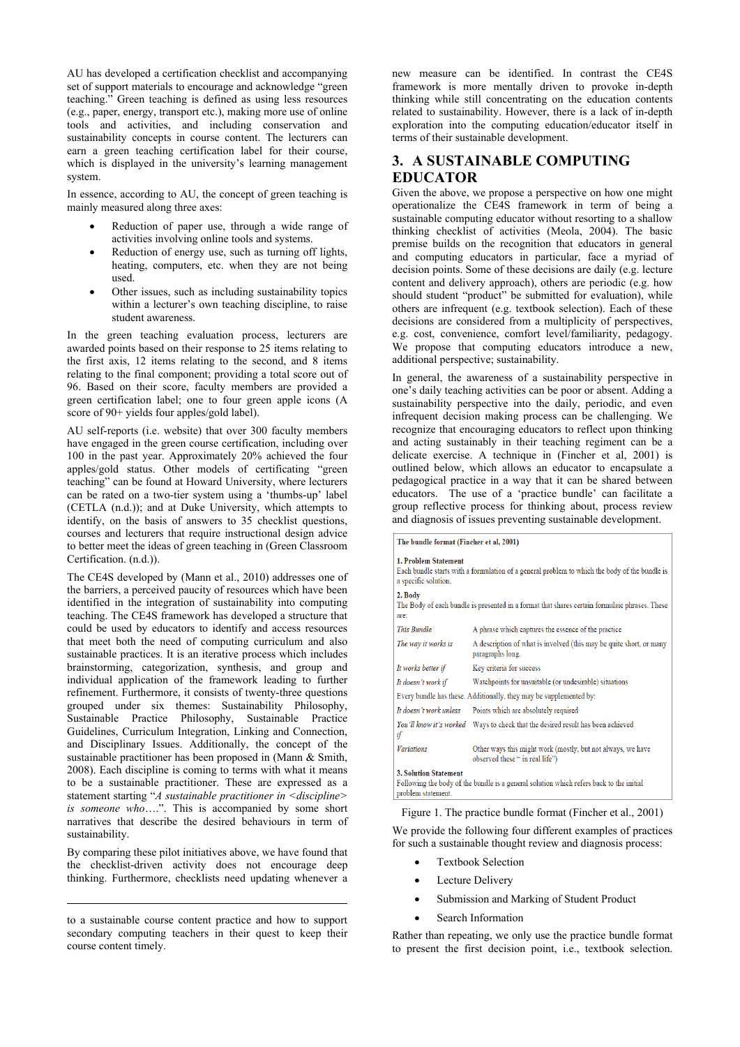AU has developed a certification checklist and accompanying set of support materials to encourage and acknowledge "green teaching." Green teaching is defined as using less resources (e.g., paper, energy, transport etc.), making more use of online tools and activities, and including conservation and sustainability concepts in course content. The lecturers can earn a green teaching certification label for their course, which is displayed in the university's learning management system.

In essence, according to AU, the concept of green teaching is mainly measured along three axes:

- Reduction of paper use, through a wide range of activities involving online tools and systems.
- Reduction of energy use, such as turning off lights, heating, computers, etc. when they are not being used.
- Other issues, such as including sustainability topics within a lecturer's own teaching discipline, to raise student awareness.

In the green teaching evaluation process, lecturers are awarded points based on their response to 25 items relating to the first axis, 12 items relating to the second, and 8 items relating to the final component; providing a total score out of 96. Based on their score, faculty members are provided a green certification label; one to four green apple icons (A score of 90+ yields four apples/gold label).

AU self-reports (i.e. website) that over 300 faculty members have engaged in the green course certification, including over 100 in the past year. Approximately 20% achieved the four apples/gold status. Other models of certificating "green teaching" can be found at Howard University, where lecturers can be rated on a two-tier system using a 'thumbs-up' label (CETLA (n.d.)); and at Duke University, which attempts to identify, on the basis of answers to 35 checklist questions, courses and lecturers that require instructional design advice to better meet the ideas of green teaching in (Green Classroom Certification. (n.d.)).

The CE4S developed by (Mann et al., 2010) addresses one of the barriers, a perceived paucity of resources which have been identified in the integration of sustainability into computing teaching. The CE4S framework has developed a structure that could be used by educators to identify and access resources that meet both the need of computing curriculum and also sustainable practices. It is an iterative process which includes brainstorming, categorization, synthesis, and group and individual application of the framework leading to further refinement. Furthermore, it consists of twenty-three questions grouped under six themes: Sustainability Philosophy, Sustainable Practice Philosophy, Sustainable Practice Guidelines, Curriculum Integration, Linking and Connection, and Disciplinary Issues. Additionally, the concept of the sustainable practitioner has been proposed in (Mann & Smith, 2008). Each discipline is coming to terms with what it means to be a sustainable practitioner. These are expressed as a statement starting "*A sustainable practitioner in <discipline> is someone who*….". This is accompanied by some short narratives that describe the desired behaviours in term of sustainability.

By comparing these pilot initiatives above, we have found that the checklist-driven activity does not encourage deep thinking. Furthermore, checklists need updating whenever a

1

new measure can be identified. In contrast the CE4S framework is more mentally driven to provoke in-depth thinking while still concentrating on the education contents related to sustainability. However, there is a lack of in-depth exploration into the computing education/educator itself in terms of their sustainable development.

# **3. A SUSTAINABLE COMPUTING EDUCATOR**

Given the above, we propose a perspective on how one might operationalize the CE4S framework in term of being a sustainable computing educator without resorting to a shallow thinking checklist of activities (Meola, 2004). The basic premise builds on the recognition that educators in general and computing educators in particular, face a myriad of decision points. Some of these decisions are daily (e.g. lecture content and delivery approach), others are periodic (e.g. how should student "product" be submitted for evaluation), while others are infrequent (e.g. textbook selection). Each of these decisions are considered from a multiplicity of perspectives, e.g. cost, convenience, comfort level/familiarity, pedagogy. We propose that computing educators introduce a new, additional perspective; sustainability.

In general, the awareness of a sustainability perspective in one's daily teaching activities can be poor or absent. Adding a sustainability perspective into the daily, periodic, and even infrequent decision making process can be challenging. We recognize that encouraging educators to reflect upon thinking and acting sustainably in their teaching regiment can be a delicate exercise. A technique in (Fincher et al, 2001) is outlined below, which allows an educator to encapsulate a pedagogical practice in a way that it can be shared between educators. The use of a 'practice bundle' can facilitate a group reflective process for thinking about, process review and diagnosis of issues preventing sustainable development.

The bundle format (Fincher et al, 2001)

| <b>1. Problem Statement</b><br>Each bundle starts with a formulation of a general problem to which the body of the bundle is<br>a specific solution. |                                                                                                |  |  |  |  |  |
|------------------------------------------------------------------------------------------------------------------------------------------------------|------------------------------------------------------------------------------------------------|--|--|--|--|--|
| 2. Body<br>The Body of each bundle is presented in a format that shares certain formulaic phrases. These<br>are:                                     |                                                                                                |  |  |  |  |  |
| This Bundle                                                                                                                                          | A phrase which captures the essence of the practice                                            |  |  |  |  |  |
| The way it works is                                                                                                                                  | A description of what is involved (this may be quite short, or many<br>paragraphs long.        |  |  |  |  |  |
| It works better if                                                                                                                                   | Key criteria for success                                                                       |  |  |  |  |  |
| It doesn't work if                                                                                                                                   | Watchpoints for unsuitable (or undesirable) situations                                         |  |  |  |  |  |
| Every bundle has these. Additionally, they may be supplemented by:                                                                                   |                                                                                                |  |  |  |  |  |
| It doesn't work unless<br>Points which are absolutely required                                                                                       |                                                                                                |  |  |  |  |  |
| if                                                                                                                                                   | You'll know it's worked Ways to check that the desired result has been achieved                |  |  |  |  |  |
| <b>Variations</b>                                                                                                                                    | Other ways this might work (mostly, but not always, we have<br>observed these " in real life") |  |  |  |  |  |
| <b>3. Solution Statement</b><br>Following the body of the bundle is a general solution which refers back to the initial<br>problem statement.        |                                                                                                |  |  |  |  |  |

Figure 1. The practice bundle format (Fincher et al., 2001)

We provide the following four different examples of practices for such a sustainable thought review and diagnosis process:

- Textbook Selection
- Lecture Delivery
- Submission and Marking of Student Product
- Search Information

Rather than repeating, we only use the practice bundle format to present the first decision point, i.e., textbook selection.

to a sustainable course content practice and how to support secondary computing teachers in their quest to keep their course content timely.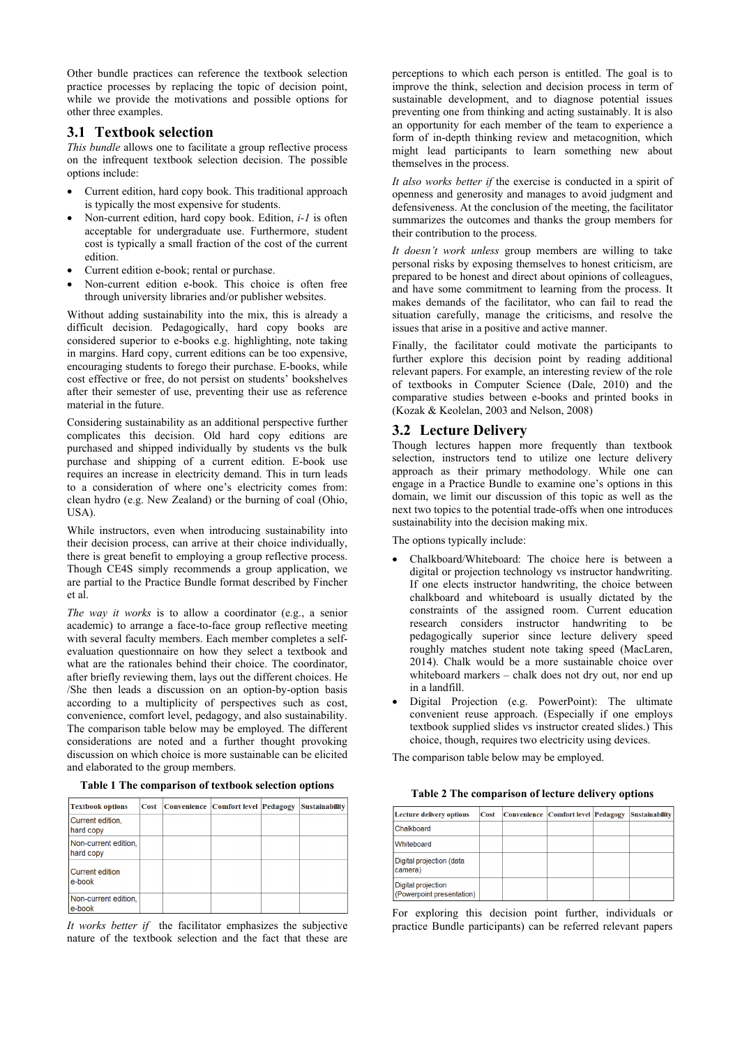Other bundle practices can reference the textbook selection practice processes by replacing the topic of decision point, while we provide the motivations and possible options for other three examples.

## **3.1 Textbook selection**

*This bundle* allows one to facilitate a group reflective process on the infrequent textbook selection decision. The possible options include:

- Current edition, hard copy book. This traditional approach is typically the most expensive for students.
- Non-current edition, hard copy book. Edition, *i-1* is often acceptable for undergraduate use. Furthermore, student cost is typically a small fraction of the cost of the current edition.
- Current edition e-book; rental or purchase.
- Non-current edition e-book. This choice is often free through university libraries and/or publisher websites.

Without adding sustainability into the mix, this is already a difficult decision. Pedagogically, hard copy books are considered superior to e-books e.g. highlighting, note taking in margins. Hard copy, current editions can be too expensive, encouraging students to forego their purchase. E-books, while cost effective or free, do not persist on students' bookshelves after their semester of use, preventing their use as reference material in the future.

Considering sustainability as an additional perspective further complicates this decision. Old hard copy editions are purchased and shipped individually by students vs the bulk purchase and shipping of a current edition. E-book use requires an increase in electricity demand. This in turn leads to a consideration of where one's electricity comes from: clean hydro (e.g. New Zealand) or the burning of coal (Ohio, USA).

While instructors, even when introducing sustainability into their decision process, can arrive at their choice individually, there is great benefit to employing a group reflective process. Though CE4S simply recommends a group application, we are partial to the Practice Bundle format described by Fincher et al.

*The way it works* is to allow a coordinator (e.g., a senior academic) to arrange a face-to-face group reflective meeting with several faculty members. Each member completes a selfevaluation questionnaire on how they select a textbook and what are the rationales behind their choice. The coordinator, after briefly reviewing them, lays out the different choices. He /She then leads a discussion on an option-by-option basis according to a multiplicity of perspectives such as cost, convenience, comfort level, pedagogy, and also sustainability. The comparison table below may be employed. The different considerations are noted and a further thought provoking discussion on which choice is more sustainable can be elicited and elaborated to the group members.

| Table 1 The comparison of textbook selection options |  |
|------------------------------------------------------|--|
|------------------------------------------------------|--|

| <b>Textbook options</b>           | <b>Cost</b> | Convenience   Comfort level   Pedagogy | <b>Sustainability</b> |
|-----------------------------------|-------------|----------------------------------------|-----------------------|
| Current edition,<br>hard copy     |             |                                        |                       |
| Non-current edition.<br>hard copy |             |                                        |                       |
| Current edition<br>le-book        |             |                                        |                       |
| Non-current edition,<br>e-book    |             |                                        |                       |

*It works better if* the facilitator emphasizes the subjective nature of the textbook selection and the fact that these are perceptions to which each person is entitled. The goal is to improve the think, selection and decision process in term of sustainable development, and to diagnose potential issues preventing one from thinking and acting sustainably. It is also an opportunity for each member of the team to experience a form of in-depth thinking review and metacognition, which might lead participants to learn something new about themselves in the process.

*It also works better if* the exercise is conducted in a spirit of openness and generosity and manages to avoid judgment and defensiveness. At the conclusion of the meeting, the facilitator summarizes the outcomes and thanks the group members for their contribution to the process.

*It doesn't work unless* group members are willing to take personal risks by exposing themselves to honest criticism, are prepared to be honest and direct about opinions of colleagues, and have some commitment to learning from the process. It makes demands of the facilitator, who can fail to read the situation carefully, manage the criticisms, and resolve the issues that arise in a positive and active manner.

Finally, the facilitator could motivate the participants to further explore this decision point by reading additional relevant papers. For example, an interesting review of the role of textbooks in Computer Science (Dale, 2010) and the comparative studies between e-books and printed books in (Kozak & Keolelan, 2003 and Nelson, 2008)

### **3.2 Lecture Delivery**

Though lectures happen more frequently than textbook selection, instructors tend to utilize one lecture delivery approach as their primary methodology. While one can engage in a Practice Bundle to examine one's options in this domain, we limit our discussion of this topic as well as the next two topics to the potential trade-offs when one introduces sustainability into the decision making mix.

The options typically include:

- Chalkboard/Whiteboard: The choice here is between a digital or projection technology vs instructor handwriting. If one elects instructor handwriting, the choice between chalkboard and whiteboard is usually dictated by the constraints of the assigned room. Current education research considers instructor handwriting to be pedagogically superior since lecture delivery speed roughly matches student note taking speed (MacLaren, 2014). Chalk would be a more sustainable choice over whiteboard markers – chalk does not dry out, nor end up in a landfill.
- Digital Projection (e.g. PowerPoint): The ultimate convenient reuse approach. (Especially if one employs textbook supplied slides vs instructor created slides.) This choice, though, requires two electricity using devices.

The comparison table below may be employed.

#### **Table 2 The comparison of lecture delivery options**

| Lecture delivery options                        | Cost | Convenience   Comfort level   Pedagogy | <b>Sustainability</b> |
|-------------------------------------------------|------|----------------------------------------|-----------------------|
| Chalkboard                                      |      |                                        |                       |
| Whiteboard                                      |      |                                        |                       |
| Digital projection (data<br>camera)             |      |                                        |                       |
| Digital projection<br>(Powerpoint presentation) |      |                                        |                       |

For exploring this decision point further, individuals or practice Bundle participants) can be referred relevant papers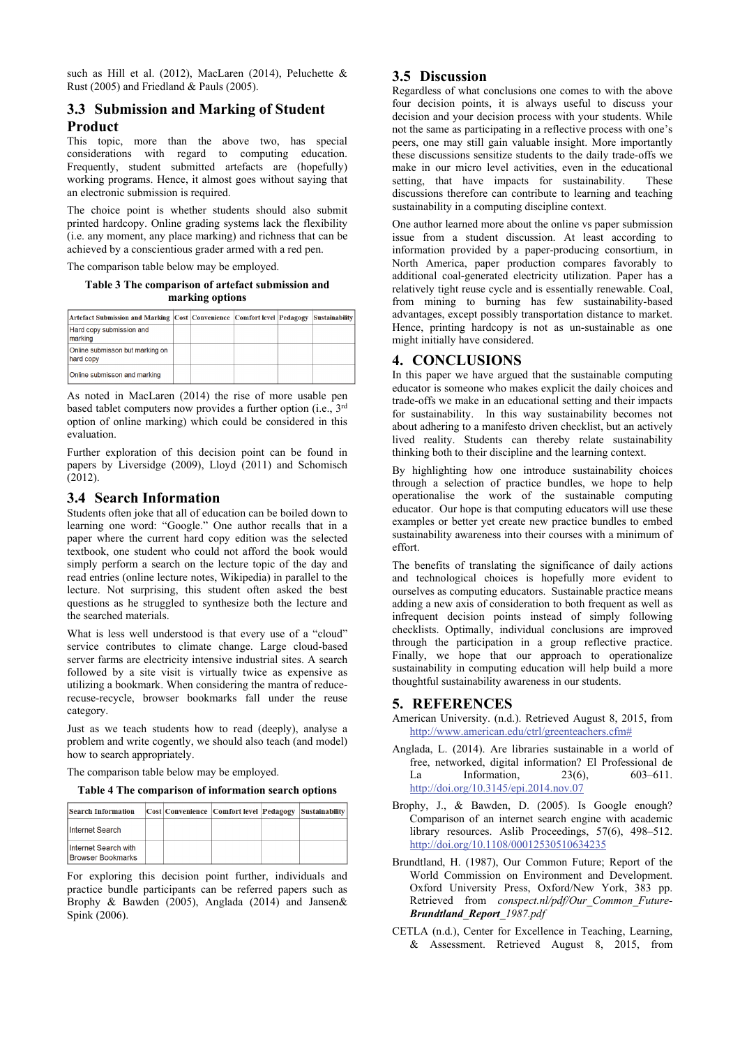such as Hill et al. (2012), MacLaren (2014), Peluchette & Rust (2005) and Friedland & Pauls (2005).

# **3.3 Submission and Marking of Student Product**

This topic, more than the above two, has special considerations with regard to computing education. Frequently, student submitted artefacts are (hopefully) working programs. Hence, it almost goes without saying that an electronic submission is required.

The choice point is whether students should also submit printed hardcopy. Online grading systems lack the flexibility (i.e. any moment, any place marking) and richness that can be achieved by a conscientious grader armed with a red pen.

The comparison table below may be employed.

#### **Table 3 The comparison of artefact submission and marking options**

| Artefact Submission and Marking Cost Convenience Comfort level Pedagogy |  |  | <b>Sustainability</b> |
|-------------------------------------------------------------------------|--|--|-----------------------|
| Hard copy submission and<br>Imarking                                    |  |  |                       |
| Online submisson but marking on<br>hard copy                            |  |  |                       |
| Online submisson and marking                                            |  |  |                       |

As noted in MacLaren (2014) the rise of more usable pen based tablet computers now provides a further option (i.e., 3rd option of online marking) which could be considered in this evaluation.

Further exploration of this decision point can be found in papers by Liversidge (2009), Lloyd (2011) and Schomisch (2012).

#### **3.4 Search Information**

Students often joke that all of education can be boiled down to learning one word: "Google." One author recalls that in a paper where the current hard copy edition was the selected textbook, one student who could not afford the book would simply perform a search on the lecture topic of the day and read entries (online lecture notes, Wikipedia) in parallel to the lecture. Not surprising, this student often asked the best questions as he struggled to synthesize both the lecture and the searched materials.

What is less well understood is that every use of a "cloud" service contributes to climate change. Large cloud-based server farms are electricity intensive industrial sites. A search followed by a site visit is virtually twice as expensive as utilizing a bookmark. When considering the mantra of reducerecuse-recycle, browser bookmarks fall under the reuse category.

Just as we teach students how to read (deeply), analyse a problem and write cogently, we should also teach (and model) how to search appropriately.

The comparison table below may be employed.

**Table 4 The comparison of information search options** 

| <b>Search Information</b>                        |  | <b>Cost Convenience Comfort level Pedagogy</b> | Sustainability |
|--------------------------------------------------|--|------------------------------------------------|----------------|
| Internet Search                                  |  |                                                |                |
| Internet Search with<br><b>Browser Bookmarks</b> |  |                                                |                |

For exploring this decision point further, individuals and practice bundle participants can be referred papers such as Brophy & Bawden (2005), Anglada (2014) and Jansen& Spink (2006).

## **3.5 Discussion**

Regardless of what conclusions one comes to with the above four decision points, it is always useful to discuss your decision and your decision process with your students. While not the same as participating in a reflective process with one's peers, one may still gain valuable insight. More importantly these discussions sensitize students to the daily trade-offs we make in our micro level activities, even in the educational setting, that have impacts for sustainability. These discussions therefore can contribute to learning and teaching sustainability in a computing discipline context.

One author learned more about the online vs paper submission issue from a student discussion. At least according to information provided by a paper-producing consortium, in North America, paper production compares favorably to additional coal-generated electricity utilization. Paper has a relatively tight reuse cycle and is essentially renewable. Coal, from mining to burning has few sustainability-based advantages, except possibly transportation distance to market. Hence, printing hardcopy is not as un-sustainable as one might initially have considered.

## **4. CONCLUSIONS**

In this paper we have argued that the sustainable computing educator is someone who makes explicit the daily choices and trade-offs we make in an educational setting and their impacts for sustainability. In this way sustainability becomes not about adhering to a manifesto driven checklist, but an actively lived reality. Students can thereby relate sustainability thinking both to their discipline and the learning context.

By highlighting how one introduce sustainability choices through a selection of practice bundles, we hope to help operationalise the work of the sustainable computing educator. Our hope is that computing educators will use these examples or better yet create new practice bundles to embed sustainability awareness into their courses with a minimum of effort.

The benefits of translating the significance of daily actions and technological choices is hopefully more evident to ourselves as computing educators. Sustainable practice means adding a new axis of consideration to both frequent as well as infrequent decision points instead of simply following checklists. Optimally, individual conclusions are improved through the participation in a group reflective practice. Finally, we hope that our approach to operationalize sustainability in computing education will help build a more thoughtful sustainability awareness in our students.

#### **5. REFERENCES**

- American University. (n.d.). Retrieved August 8, 2015, from http://www.american.edu/ctrl/greenteachers.cfm#
- Anglada, L. (2014). Are libraries sustainable in a world of free, networked, digital information? El Professional de La Information. 23(6), 603-611. http://doi.org/10.3145/epi.2014.nov.07
- Brophy, J., & Bawden, D. (2005). Is Google enough? Comparison of an internet search engine with academic library resources. Aslib Proceedings, 57(6), 498–512. http://doi.org/10.1108/00012530510634235
- Brundtland, H. (1987), Our Common Future; Report of the World Commission on Environment and Development. Oxford University Press, Oxford/New York, 383 pp. Retrieved from *conspect.nl/pdf/Our\_Common\_Future-Brundtland\_Report\_1987.pdf*
- CETLA (n.d.), Center for Excellence in Teaching, Learning, & Assessment. Retrieved August 8, 2015, from